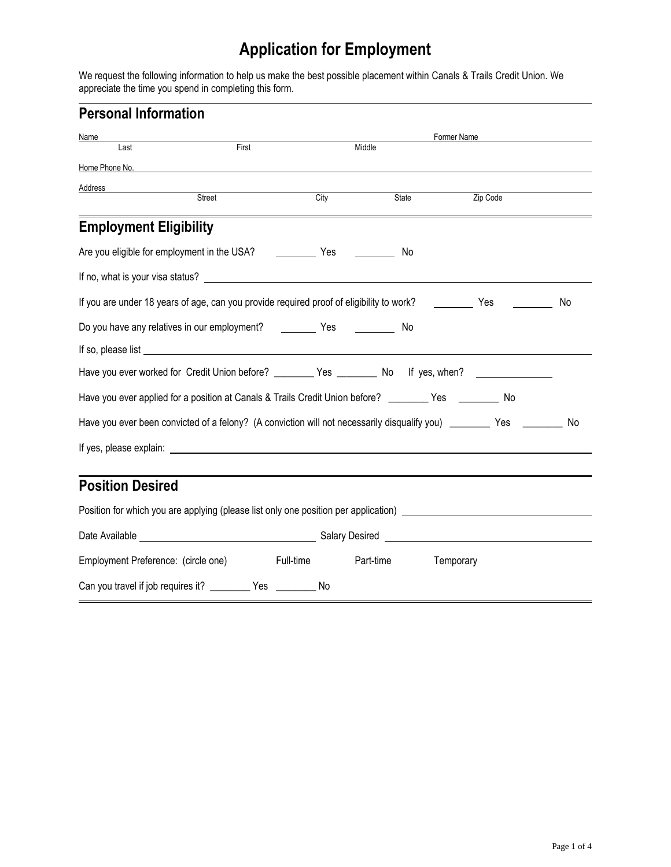# **Application for Employment**

We request the following information to help us make the best possible placement within Canals & Trails Credit Union. We appreciate the time you spend in completing this form.

| <b>Personal Information</b> |  |
|-----------------------------|--|
|                             |  |

| Name                                                                                                                                                                                                                                 |        |      |                     | Former Name |    |
|--------------------------------------------------------------------------------------------------------------------------------------------------------------------------------------------------------------------------------------|--------|------|---------------------|-------------|----|
| Last                                                                                                                                                                                                                                 | First  |      | Middle              |             |    |
| Home Phone No. <b>Example 20</b> Section 20 and 20 Section 20 and 20 Section 20 and 20 Section 20 and 20 Section 20 and 20 Section 20 and 20 Section 20 and 20 Section 20 and 20 Section 20 and 20 Section 20 and 20 Section 20 and  |        |      |                     |             |    |
| Address                                                                                                                                                                                                                              | Street | City | State               | Zip Code    |    |
|                                                                                                                                                                                                                                      |        |      |                     |             |    |
| <b>Employment Eligibility</b>                                                                                                                                                                                                        |        |      |                     |             |    |
| Are you eligible for employment in the USA? [10] Yes [10] Next [20] Yes [20] Next [20] Yes [20] Next [20] Are N                                                                                                                      |        |      | No.                 |             |    |
|                                                                                                                                                                                                                                      |        |      |                     |             |    |
| If you are under 18 years of age, can you provide required proof of eligibility to work? ___________ Yes _________                                                                                                                   |        |      |                     |             | No |
|                                                                                                                                                                                                                                      |        |      |                     |             |    |
|                                                                                                                                                                                                                                      |        |      |                     |             |    |
| Have you ever worked for Credit Union before? ___________ Yes ___________ No If yes, when? _______________                                                                                                                           |        |      |                     |             |    |
| Have you ever applied for a position at Canals & Trails Credit Union before? _______ Yes ________ No                                                                                                                                 |        |      |                     |             |    |
| Have you ever been convicted of a felony? (A conviction will not necessarily disqualify you) __________ Yes __________ No                                                                                                            |        |      |                     |             |    |
| If yes, please explain: <u>example and the set of the set of the set of the set of the set of the set of the set of the set of the set of the set of the set of the set of the set of the set of the set of the set of the set o</u> |        |      |                     |             |    |
|                                                                                                                                                                                                                                      |        |      |                     |             |    |
| <b>Position Desired</b>                                                                                                                                                                                                              |        |      |                     |             |    |
| Position for which you are applying (please list only one position per application) ________________                                                                                                                                 |        |      |                     |             |    |
|                                                                                                                                                                                                                                      |        |      |                     |             |    |
| Employment Preference: (circle one) Full-time                                                                                                                                                                                        |        |      | Part-time Temporary |             |    |
| Can you travel if job requires it? ___________ Yes ___________ No                                                                                                                                                                    |        |      |                     |             |    |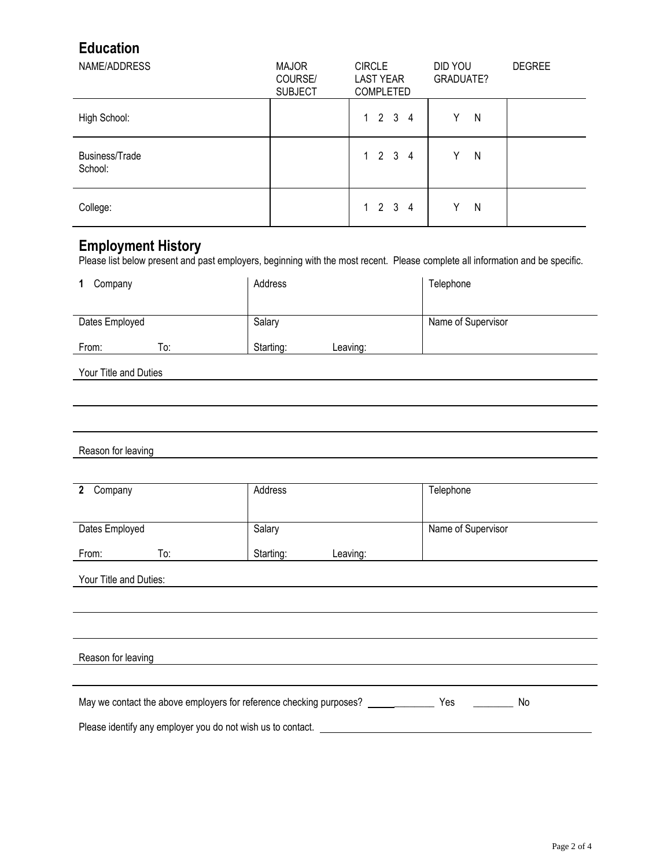## **Education**

| NAME/ADDRESS              | <b>MAJOR</b><br>COURSE/<br><b>SUBJECT</b> | <b>CIRCLE</b><br><b>LAST YEAR</b><br><b>COMPLETED</b> | DID YOU<br>GRADUATE? | <b>DEGREE</b> |
|---------------------------|-------------------------------------------|-------------------------------------------------------|----------------------|---------------|
| High School:              |                                           | 1 2 3 4                                               | N<br>Y               |               |
| Business/Trade<br>School: |                                           | 1 2 3 4                                               | Υ<br>N               |               |
| College:                  |                                           | 1 2 3 4                                               | N<br>v               |               |

#### **Employment History**

Please list below present and past employers, beginning with the most recent. Please complete all information and be specific.

| Company        |     | Address   |          | Telephone          |
|----------------|-----|-----------|----------|--------------------|
| Dates Employed |     | Salary    |          | Name of Supervisor |
| From:          | To: | Starting: | Leaving: |                    |

Your Title and Duties

#### Reason for leaving

| $\overline{2}$<br>Company                                   | Address                                                                          | Telephone          |
|-------------------------------------------------------------|----------------------------------------------------------------------------------|--------------------|
|                                                             |                                                                                  |                    |
|                                                             |                                                                                  |                    |
| Dates Employed                                              | Salary                                                                           | Name of Supervisor |
|                                                             |                                                                                  |                    |
| To:<br>From:                                                | Starting:<br>Leaving:                                                            |                    |
|                                                             |                                                                                  |                    |
| Your Title and Duties:                                      |                                                                                  |                    |
|                                                             |                                                                                  |                    |
|                                                             |                                                                                  |                    |
|                                                             |                                                                                  |                    |
|                                                             |                                                                                  |                    |
|                                                             |                                                                                  |                    |
| Reason for leaving                                          |                                                                                  |                    |
|                                                             |                                                                                  |                    |
|                                                             |                                                                                  |                    |
|                                                             | May we contact the above employers for reference checking purposes? ____________ | Yes<br>No          |
| Please identify any employer you do not wish us to contact. |                                                                                  |                    |
|                                                             |                                                                                  |                    |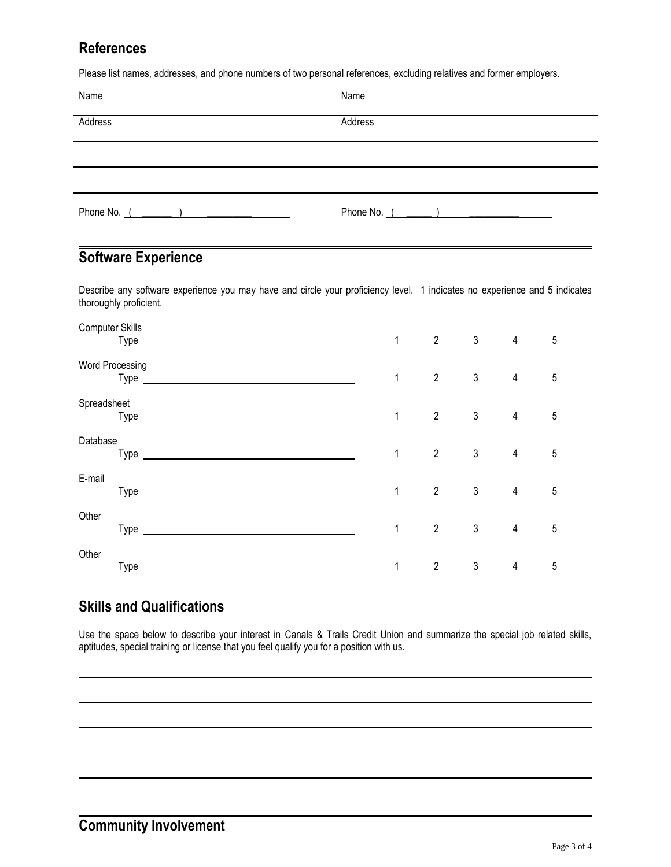### **References**

Please list names, addresses, and phone numbers of two personal references, excluding relatives and former employers.

| Name    | Name          |
|---------|---------------|
| Address | Address       |
|         |               |
|         |               |
|         | Phone No. $($ |

#### **Software Experience**

Describe any software experience you may have and circle your proficiency level. 1 indicates no experience and 5 indicates thoroughly proficient.

| <b>Computer Skills</b> |                                                                                                                                                                                                                                | $\mathbf{1}$ | $\overline{2}$ | $\mathfrak{Z}$ | $\overline{4}$ | $5\phantom{.0}$ |
|------------------------|--------------------------------------------------------------------------------------------------------------------------------------------------------------------------------------------------------------------------------|--------------|----------------|----------------|----------------|-----------------|
| Word Processing        |                                                                                                                                                                                                                                | $\mathbf{1}$ | $\mathbf{2}$   | $\mathfrak{Z}$ | $\overline{4}$ | $\sqrt{5}$      |
| Spreadsheet            | Type experience and the second state of the second state of the second state of the second state of the second state of the second state of the second state of the second state of the second state of the second state of th | 1            | $\overline{2}$ | $\mathfrak{Z}$ | $\overline{4}$ | 5               |
| Database               |                                                                                                                                                                                                                                | $\mathbf{1}$ | $\overline{2}$ | $\mathfrak{Z}$ | $\overline{4}$ | $5\phantom{.0}$ |
| E-mail                 |                                                                                                                                                                                                                                | 1            | $\overline{2}$ | $\mathfrak{Z}$ | $\overline{4}$ | $\sqrt{5}$      |
| Other                  |                                                                                                                                                                                                                                | 1            | $\overline{2}$ | $\mathfrak{Z}$ | $\overline{4}$ | $5\phantom{.0}$ |
| Other                  |                                                                                                                                                                                                                                | 1            | $\overline{2}$ | $\mathfrak{Z}$ | $\overline{4}$ | 5               |

## **Skills and Qualifications**

Use the space below to describe your interest in Canals & Trails Credit Union and summarize the special job related skills, aptitudes, special training or license that you feel qualify you for a position with us.